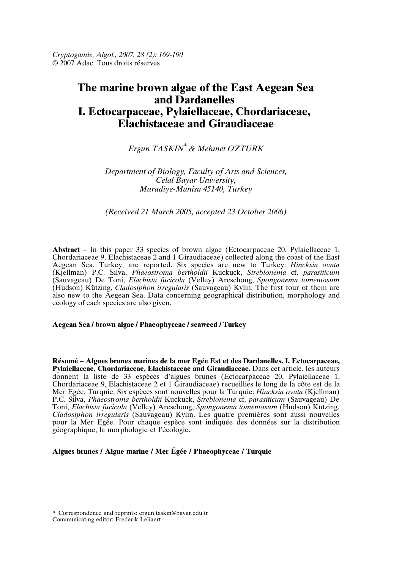*Cryptogamie, Algol., 2007, 28 (2): 169-190* © 2007 Adac. Tous droits réservés

# **The marine brown algae of the East Aegean Sea and Dardanelles I. Ectocarpaceae, Pylaiellaceae, Chordariaceae, Elachistaceae and Giraudiaceae**

## *Ergun TASKIN\* & Mehmet OZTURK*

## *Department of Biology, Faculty of Arts and Sciences, Celal Bayar University, Muradiye-Manisa 45140, Turkey*

## *(Received 21 March 2005, accepted 23 October 2006)*

**Abstract** – In this paper 33 species of brown algae (Ectocarpaceae 20, Pylaiellaceae 1, Chordariaceae 9, Elachistaceae 2 and 1 Giraudiaceae) collected along the coast of the East Aegean Sea, Turkey, are reported. Six species are new to Turkey: *Hincksia ovata* (Kjellman) P.C. Silva, *Phaeostroma bertholdii* Kuckuck, *Streblonema* cf. *parasiticum* (Sauvageau) De Toni, *Elachista fucicola* (Velley) Areschoug, *Spongonema tomentosum* (Hudson) Kützing, *Cladosiphon irregularis* (Sauvageau) Kylin. The first four of them are also new to the Aegean Sea. Data concerning geographical distribution, morphology and ecology of each species are also given.

#### **Aegean Sea / brown algae / Phaeophyceae / seaweed / Turkey**

**Résumé** – **Algues brunes marines de la mer Egée Est et des Dardanelles. I. Ectocarpaceae, Pylaiellaceae, Chordariaceae, Elachistaceae and Giraudiaceae.** Dans cet article, les auteurs donnent la liste de 33 espèces d'algues brunes (Ectocarpaceae 20, Pylaiellaceae 1, Chordariaceae 9, Elachistaceae 2 et 1 Giraudiaceae) recueillies le long de la côte est de la Mer Egée, Turquie. Six espèces sont nouvelles pour la Turquie: *Hincksia ovata* (Kjellman) P.C. Silva, *Phaeostroma bertholdii* Kuckuck, *Streblonema* cf. *parasiticum* (Sauvageau) De Toni, *Elachista fucicola* (Velley) Areschoug, *Spongonema tomentosum* (Hudson) Kützing, *Cladosiphon irregularis* (Sauvageau) Kylin. Les quatre premières sont aussi nouvelles pour la Mer Egée. Pour chaque espèce sont indiquée des données sur la distribution géographique, la morphologie et l'écologie.

**Algues brunes / Algue marine / Mer Égée / Phaeophyceae / Turquie**

<sup>\*</sup> Correspondence and reprints: ergun.taskin@bayar.edu.tr

Communicating editor: Frederik Leliaert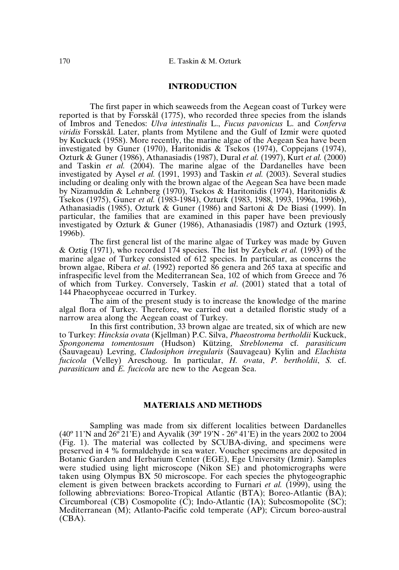## **INTRODUCTION**

The first paper in which seaweeds from the Aegean coast of Turkey were reported is that by Forsskål (1775), who recorded three species from the islands of Imbros and Tenedos: *Ulva intestinalis* L., *Fucus pavonicus* L. and *Conferva viridis* Forsskål. Later, plants from Mytilene and the Gulf of Izmir were quoted by Kuckuck (1958). More recently, the marine algae of the Aegean Sea have been investigated by Guner (1970), Haritonidis & Tsekos (1974), Coppejans (1974), Ozturk & Guner (1986), Athanasiadis (1987), Dural *et al.* (1997), Kurt *et al.* (2000) and Taskin *et al.* (2004). The marine algae of the Dardanelles have been investigated by Aysel *et al.* (1991, 1993) and Taskin *et al.* (2003). Several studies including or dealing only with the brown algae of the Aegean Sea have been made by Nizamuddin & Lehnberg (1970), Tsekos & Haritonidis (1974), Haritonidis & Tsekos (1975), Guner *et al.* (1983-1984), Ozturk (1983, 1988, 1993, 1996a, 1996b), Athanasiadis (1985), Ozturk & Guner (1986) and Sartoni & De Biasi (1999). In particular, the families that are examined in this paper have been previously investigated by Ozturk & Guner (1986), Athanasiadis (1987) and Ozturk (1993, 1996b).

The first general list of the marine algae of Turkey was made by Guven & Oztig (1971), who recorded 174 species. The list by Zeybek *et al.* (1993) of the marine algae of Turkey consisted of 612 species. In particular, as concerns the brown algae, Ribera *et al*. (1992) reported 86 genera and 265 taxa at specific and infraspecific level from the Mediterranean Sea, 102 of which from Greece and 76 of which from Turkey. Conversely, Taskin *et al*. (2001) stated that a total of 144 Phaeophyceae occurred in Turkey.

The aim of the present study is to increase the knowledge of the marine algal flora of Turkey. Therefore, we carried out a detailed floristic study of a narrow area along the Aegean coast of Turkey.

In this first contribution, 33 brown algae are treated, six of which are new to Turkey: *Hincksia ovata* (Kjellman) P.C. Silva, *Phaeostroma bertholdii* Kuckuck, *Spongonema tomentosum* (Hudson) Kützing, *Streblonema* cf. *parasiticum* (Sauvageau) Levring, *Cladosiphon irregularis* (Sauvageau) Kylin and *Elachista fucicola* (Velley) Areschoug. In particular, *H. ovata*, *P. bertholdii*, *S.* cf. *parasiticum* and *E. fucicola* are new to the Aegean Sea.

#### **MATERIALS AND METHODS**

Sampling was made from six different localities between Dardanelles (40º 11'N and 26º 21'E) and Ayvalik (39º 19'N - 26º 41'E) in the years 2002 to 2004 (Fig. 1). The material was collected by SCUBA-diving, and specimens were preserved in 4 % formaldehyde in sea water. Voucher specimens are deposited in Botanic Garden and Herbarium Center (EGE), Ege University (Izmir). Samples were studied using light microscope (Nikon SE) and photomicrographs were taken using Olympus BX 50 microscope. For each species the phytogeographic element is given between brackets according to Furnari *et al.* (1999), using the following abbreviations: Boreo-Tropical Atlantic (BTA); Boreo-Atlantic (BA); Circumboreal (CB) Cosmopolite (C); Indo-Atlantic (IA); Subcosmopolite (SC); Mediterranean (M); Atlanto-Pacific cold temperate (AP); Circum boreo-austral  $(CBA)$ .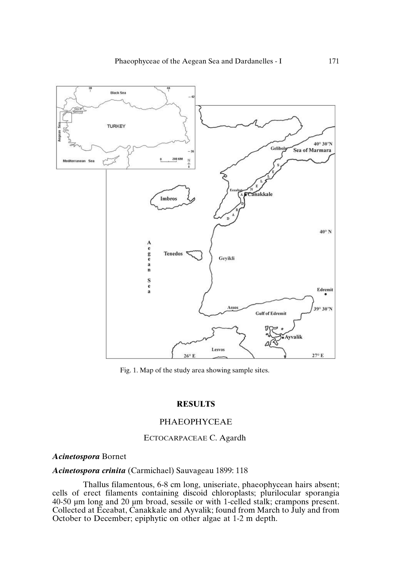

Fig. 1. Map of the study area showing sample sites.

## **RESULTS**

## PHAEOPHYCEAE

## ECTOCARPACEAE C. Agardh

#### *Acinetospora* Bornet

## *Acinetospora crinita* (Carmichael) Sauvageau 1899: 118

Thallus filamentous, 6-8 cm long, uniseriate, phaeophycean hairs absent; cells of erect filaments containing discoid chloroplasts; plurilocular sporangia 40-50 µm long and 20 µm broad, sessile or with 1-celled stalk; crampons present. Collected at Eceabat, Canakkale and Ayvalik; found from March to July and from October to December; epiphytic on other algae at 1-2 m depth.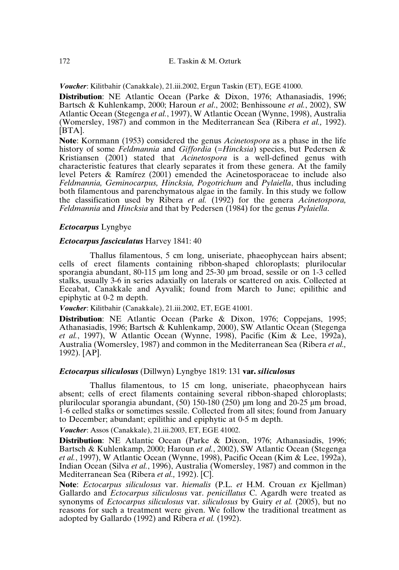*Voucher*: Kilitbahir (Canakkale), 21.iii.2002, Ergun Taskin (ET), EGE 41000.

**Distribution**: NE Atlantic Ocean (Parke & Dixon, 1976; Athanasiadis, 1996; Bartsch & Kuhlenkamp, 2000; Haroun *et al*., 2002; Benhissoune *et al.*, 2002), SW Atlantic Ocean (Stegenga *et al.*, 1997), W Atlantic Ocean (Wynne, 1998), Australia (Womersley, 1987) and common in the Mediterranean Sea (Ribera *et al.,* 1992). [BTA].

**Note**: Kornmann (1953) considered the genus *Acinetospora* as a phase in the life history of some *Feldmannia* and *Giffordia* (=*Hincksia*) species, but Pedersen & Kristiansen (2001) stated that *Acinetospora* is a well-defined genus with characteristic features that clearly separates it from these genera. At the family level Peters & Ramírez (2001) emended the Acinetosporaceae to include also *Feldmannia, Geminocarpus, Hincksia, Pogotrichum* and *Pylaiella*, thus including both filamentous and parenchymatous algae in the family. In this study we follow the classification used by Ribera *et al.* (1992) for the genera *Acinetospora, Feldmannia* and *Hincksia* and that by Pedersen (1984) for the genus *Pylaiella*.

## *Ectocarpus* Lyngbye

#### *Ectocarpus fasciculatus* Harvey 1841: 40

Thallus filamentous, 5 cm long, uniseriate, phaeophycean hairs absent; cells of erect filaments containing ribbon-shaped chloroplasts; plurilocular sporangia abundant, 80-115 µm long and 25-30 µm broad, sessile or on 1-3 celled stalks, usually 3-6 in series adaxially on laterals or scattered on axis. Collected at Eceabat, Canakkale and Ayvalik; found from March to June; epilithic and epiphytic at 0-2 m depth.

*Voucher*: Kilitbahir (Canakkale), 21.iii.2002, ET, EGE 41001.

**Distribution**: NE Atlantic Ocean (Parke & Dixon, 1976; Coppejans, 1995; Athanasiadis, 1996; Bartsch & Kuhlenkamp, 2000), SW Atlantic Ocean (Stegenga *et al.*, 1997), W Atlantic Ocean (Wynne, 1998), Pacific (Kim & Lee, 1992a), Australia (Womersley, 1987) and common in the Mediterranean Sea (Ribera *et al.,* 1992). [AP].

## *Ectocarpus siliculosus* (Dillwyn) Lyngbye 1819: 131 **var.** *siliculosus*

Thallus filamentous, to 15 cm long, uniseriate, phaeophycean hairs absent; cells of erect filaments containing several ribbon-shaped chloroplasts; plurilocular sporangia abundant, (50) 150-180 (250) µm long and 20-25 µm broad, 1-6 celled stalks or sometimes sessile. Collected from all sites; found from January to December; abundant; epilithic and epiphytic at 0-5 m depth.

*Voucher*: Assos (Canakkale), 21.iii.2003, ET, EGE 41002.

**Distribution**: NE Atlantic Ocean (Parke & Dixon, 1976; Athanasiadis, 1996; Bartsch & Kuhlenkamp, 2000; Haroun *et al.*, 2002), SW Atlantic Ocean (Stegenga *et al.*, 1997), W Atlantic Ocean (Wynne, 1998), Pacific Ocean (Kim & Lee, 1992a), Indian Ocean (Silva *et al.*, 1996), Australia (Womersley, 1987) and common in the Mediterranean Sea (Ribera *et al.,* 1992). [C].

**Note**: *Ectocarpus siliculosus* var. *hiemalis* (P.L. *et* H.M. Crouan *ex* Kjellman) Gallardo and *Ectocarpus siliculosus* var. *penicillatus* C. Agardh were treated as synonyms of *Ectocarpus siliculosus* var. *siliculosus* by Guiry *et al.* (2005), but no reasons for such a treatment were given. We follow the traditional treatment as adopted by Gallardo (1992) and Ribera *et al.* (1992).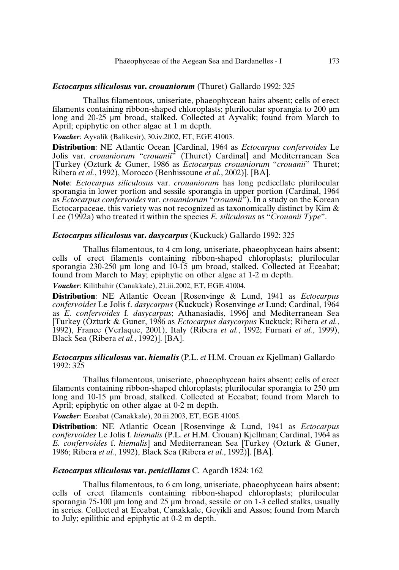## *Ectocarpus siliculosus* **var.** *crouaniorum* (Thuret) Gallardo 1992: 325

Thallus filamentous, uniseriate, phaeophycean hairs absent; cells of erect filaments containing ribbon-shaped chloroplasts; plurilocular sporangia to 200 µm long and 20-25 um broad, stalked. Collected at Ayvalik; found from March to April; epiphytic on other algae at 1 m depth.

*Voucher*: Ayvalik (Balikesir), 30.iv.2002, ET, EGE 41003.

**Distribution**: NE Atlantic Ocean [Cardinal, 1964 as *Ectocarpus confervoides* Le Jolis var. *crouaniorum* "*crouanii*" (Thuret) Cardinal] and Mediterranean Sea [Turkey (Ozturk & Guner, 1986 as *Ectocarpus crouaniorum* "*crouanii*" Thuret; Ribera *et al.*, 1992), Morocco (Benhissoune *et al.*, 2002)]. [BA].

**Note**: *Ectocarpus siliculosus* var. *crouaniorum* has long pedicellate plurilocular sporangia in lower portion and sessile sporangia in upper portion (Cardinal, 1964 as *Ectocarpus confervoides* var. *crouaniorum* "*crouanii*"). In a study on the Korean Ectocarpaceae, this variety was not recognized as taxonomically distinct by Kim & Lee (1992a) who treated it within the species *E. siliculosus* as "*Crouanii Type*".

#### *Ectocarpus siliculosus* **var.** *dasycarpus* (Kuckuck) Gallardo 1992: 325

Thallus filamentous, to 4 cm long, uniseriate, phaeophycean hairs absent; cells of erect filaments containing ribbon-shaped chloroplasts; plurilocular sporangia 230-250 µm long and 10-15 µm broad, stalked. Collected at Eceabat; found from March to May; epiphytic on other algae at 1-2 m depth.

*Voucher*: Kilitbahir (Canakkale), 21.iii.2002, ET, EGE 41004.

**Distribution**: NE Atlantic Ocean [Rosenvinge & Lund, 1941 as *Ectocarpus confervoides* Le Jolis f. *dasycarpus* (Kuckuck) Rosenvinge *et* Lund; Cardinal, 1964 as *E. confervoides* f. *dasycarpus*; Athanasiadis, 1996] and Mediterranean Sea [Turkey (Ozturk & Guner, 1986 as *Ectocarpus dasycarpus* Kuckuck; Ribera *et al.*, 1992), France (Verlaque, 2001), Italy (Ribera *et al.*, 1992; Furnari *et al.*, 1999), Black Sea (Ribera *et al.*, 1992)]. [BA].

## *Ectocarpus siliculosus* **var.** *hiemalis* (P.L. *et* H.M. Crouan *ex* Kjellman) Gallardo 1992: 325

Thallus filamentous, uniseriate, phaeophycean hairs absent; cells of erect filaments containing ribbon-shaped chloroplasts; plurilocular sporangia to 250 µm long and 10-15 µm broad, stalked. Collected at Eceabat; found from March to April; epiphytic on other algae at 0-2 m depth.

*Voucher*: Eceabat (Canakkale), 20.iii.2003, ET, EGE 41005.

**Distribution**: NE Atlantic Ocean [Rosenvinge & Lund, 1941 as *Ectocarpus confervoides* Le Jolis f. *hiemalis* (P.L. *et* H.M. Crouan) Kjellman; Cardinal, 1964 as *E. confervoides* f. *hiemalis*] and Mediterranean Sea [Turkey (Ozturk & Guner, 1986; Ribera *et al.*, 1992), Black Sea (Ribera *et al.*, 1992)]. [BA].

## *Ectocarpus siliculosus* **var.** *penicillatus* C. Agardh 1824: 162

Thallus filamentous, to 6 cm long, uniseriate, phaeophycean hairs absent; cells of erect filaments containing ribbon-shaped chloroplasts; plurilocular sporangia 75-100 µm long and 25 µm broad, sessile or on 1-3 celled stalks, usually in series. Collected at Eceabat, Canakkale, Geyikli and Assos; found from March to July; epilithic and epiphytic at 0-2 m depth.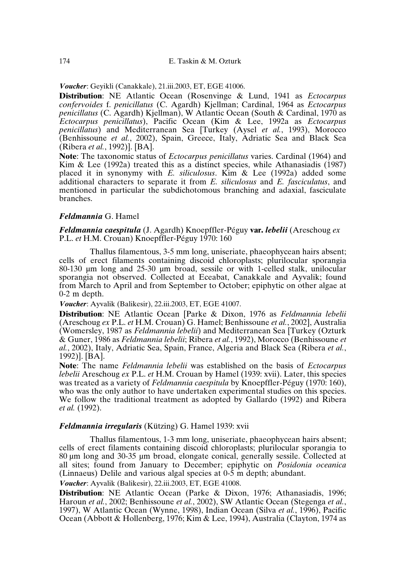*Voucher*: Geyikli (Canakkale), 21.iii.2003, ET, EGE 41006.

**Distribution**: NE Atlantic Ocean (Rosenvinge & Lund, 1941 as *Ectocarpus confervoides* f. *penicillatus* (C. Agardh) Kjellman; Cardinal, 1964 as *Ectocarpus penicillatus* (C. Agardh) Kjellman), W Atlantic Ocean (South & Cardinal, 1970 as *Ectocarpus penicillatus*), Pacific Ocean (Kim & Lee, 1992a as *Ectocarpus penicillatus*) and Mediterranean Sea [Turkey (Aysel *et al.*, 1993), Morocco (Benhissoune *et al.*, 2002), Spain, Greece, Italy, Adriatic Sea and Black Sea (Ribera *et al.*, 1992)]. [BA].

**Note**: The taxonomic status of *Ectocarpus penicillatus* varies. Cardinal (1964) and Kim & Lee (1992a) treated this as a distinct species, while Athanasiadis (1987) placed it in synonymy with *E. siliculosus*. Kim & Lee (1992a) added some additional characters to separate it from *E. siliculosus* and *E. fasciculatus*, and mentioned in particular the subdichotomous branching and adaxial, fasciculate branches.

## *Feldmannia* G. Hamel

*Feldmannia caespitula* (J. Agardh) Knoepffler-Péguy **var.** *lebelii* (Areschoug *ex* P.L. *et* H.M. Crouan) Knoepffler-Péguy 1970: 160

Thallus filamentous, 3-5 mm long, uniseriate, phaeophycean hairs absent; cells of erect filaments containing discoid chloroplasts; plurilocular sporangia 80-130 µm long and 25-30 µm broad, sessile or with 1-celled stalk, unilocular sporangia not observed. Collected at Eceabat, Canakkale and Ayvalik; found from March to April and from September to October; epiphytic on other algae at 0-2 m depth.

*Voucher*: Ayvalik (Balikesir), 22.iii.2003, ET, EGE 41007.

**Distribution**: NE Atlantic Ocean [Parke & Dixon, 1976 as *Feldmannia lebelii* (Areschoug *ex* P.L. *et* H.M. Crouan) G. Hamel; Benhissoune *et al.*, 2002], Australia (Womersley, 1987 as *Feldmannia lebelii*) and Mediterranean Sea [Turkey (Ozturk & Guner, 1986 as *Feldmannia lebelii*; Ribera *et al.*, 1992), Morocco (Benhissoune *et al.*, 2002), Italy, Adriatic Sea, Spain, France, Algeria and Black Sea (Ribera *et al.*, 1992)]. [BA].

**Note**: The name *Feldmannia lebelii* was established on the basis of *Ectocarpus lebelii* Areschoug *ex* P.L. *et* H.M. Crouan by Hamel (1939: xvii). Later, this species was treated as a variety of *Feldmannia caespitula* by Knoepffler-Péguy (1970: 160), who was the only author to have undertaken experimental studies on this species. We follow the traditional treatment as adopted by Gallardo (1992) and Ribera *et al.* (1992).

## *Feldmannia irregularis* (Kützing) G. Hamel 1939: xvii

Thallus filamentous, 1-3 mm long, uniseriate, phaeophycean hairs absent; cells of erect filaments containing discoid chloroplasts; plurilocular sporangia to 80 µm long and 30-35 µm broad, elongate conical, generally sessile. Collected at all sites; found from January to December; epiphytic on *Posidonia oceanica* (Linnaeus) Delile and various algal species at 0-5 m depth; abundant. *Voucher*: Ayvalik (Balikesir), 22.iii.2003, ET, EGE 41008.

**Distribution**: NE Atlantic Ocean (Parke & Dixon, 1976; Athanasiadis, 1996; Haroun *et al.*, 2002; Benhissoune *et al.*, 2002), SW Atlantic Ocean (Stegenga *et al.*, 1997), W Atlantic Ocean (Wynne, 1998), Indian Ocean (Silva *et al.*, 1996), Pacific Ocean (Abbott & Hollenberg, 1976; Kim & Lee, 1994), Australia (Clayton, 1974 as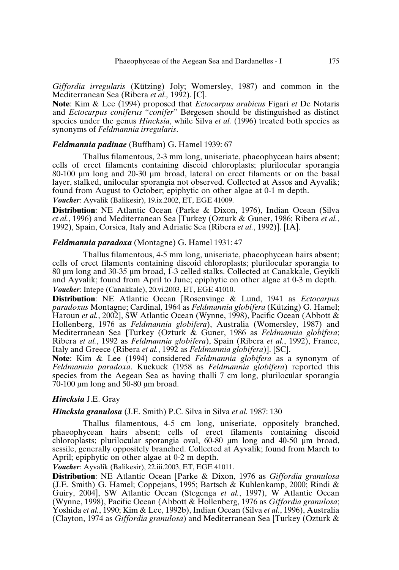*Giffordia irregularis* (Kützing) Joly; Womersley, 1987) and common in the Mediterranean Sea (Ribera *et al.,* 1992). [C].

**Note**: Kim & Lee (1994) proposed that *Ectocarpus arabicus* Figari *et* De Notaris and *Ectocarpus coniferus* "*conifer*" Børgesen should be distinguished as distinct species under the genus *Hincksia*, while Silva *et al.* (1996) treated both species as synonyms of *Feldmannia irregularis*.

#### *Feldmannia padinae* (Buffham) G. Hamel 1939: 67

Thallus filamentous, 2-3 mm long, uniseriate, phaeophycean hairs absent; cells of erect filaments containing discoid chloroplasts; plurilocular sporangia 80-100 µm long and 20-30 µm broad, lateral on erect filaments or on the basal layer, stalked, unilocular sporangia not observed. Collected at Assos and Ayvalik; found from August to October; epiphytic on other algae at 0-1 m depth. *Voucher*: Ayvalik (Balikesir), 19.ix.2002, ET, EGE 41009.

**Distribution**: NE Atlantic Ocean (Parke & Dixon, 1976), Indian Ocean (Silva *et al.*, 1996) and Mediterranean Sea [Turkey (Ozturk & Guner, 1986; Ribera *et al.*,

1992), Spain, Corsica, Italy and Adriatic Sea (Ribera *et al.*, 1992)]. [IA].

#### *Feldmannia paradoxa* (Montagne) G. Hamel 1931: 47

Thallus filamentous, 4-5 mm long, uniseriate, phaeophycean hairs absent; cells of erect filaments containing discoid chloroplasts; plurilocular sporangia to 80 µm long and 30-35 µm broad, 1-3 celled stalks. Collected at Canakkale, Geyikli and Ayvalik; found from April to June; epiphytic on other algae at 0-3 m depth. *Voucher*: Intepe (Canakkale), 20.vi.2003, ET, EGE 41010.

**Distribution**: NE Atlantic Ocean [Rosenvinge & Lund, 1941 as *Ectocarpus paradoxus* Montagne; Cardinal, 1964 as *Feldmannia globifera* (Kützing) G. Hamel; Haroun *et al.*, 2002], SW Atlantic Ocean (Wynne, 1998), Pacific Ocean (Abbott & Hollenberg, 1976 as *Feldmannia globifera*), Australia (Womersley, 1987) and Mediterranean Sea **[**Turkey (Ozturk & Guner, 1986 as *Feldmannia globifera*; Ribera *et al.*, 1992 as *Feldmannia globifera*), Spain (Ribera *et al.*, 1992), France, Italy and Greece (Ribera *et al.*, 1992 as *Feldmannia globifera*)]. [SC].

**Note**: Kim & Lee (1994) considered *Feldmannia globifera* as a synonym of *Feldmannia paradoxa*. Kuckuck (1958 as *Feldmannia globifera*) reported this species from the Aegean Sea as having thalli 7 cm long, plurilocular sporangia 70-100 µm long and 50-80 µm broad.

#### *Hincksia* J.E. Gray

#### *Hincksia granulosa* (J.E. Smith) P.C. Silva in Silva *et al.* 1987: 130

Thallus filamentous, 4-5 cm long, uniseriate, oppositely branched, phaeophycean hairs absent; cells of erect filaments containing discoid chloroplasts; plurilocular sporangia oval, 60-80 µm long and 40-50 µm broad, sessile, generally oppositely branched. Collected at Ayvalik; found from March to April; epiphytic on other algae at 0-2 m depth.

*Voucher*: Ayvalik (Balikesir), 22.iii.2003, ET, EGE 41011.

**Distribution**: NE Atlantic Ocean [Parke & Dixon, 1976 as *Giffordia granulosa* (J.E. Smith) G. Hamel; Coppejans, 1995; Bartsch & Kuhlenkamp, 2000; Rindi & Guiry, 2004], SW Atlantic Ocean (Stegenga *et al.*, 1997), W Atlantic Ocean (Wynne, 1998), Pacific Ocean (Abbott & Hollenberg, 1976 as *Giffordia granulosa*; Yoshida *et al.*, 1990; Kim & Lee, 1992b), Indian Ocean (Silva *et al.*, 1996), Australia (Clayton, 1974 as *Giffordia granulosa*) and Mediterranean Sea [Turkey (Ozturk &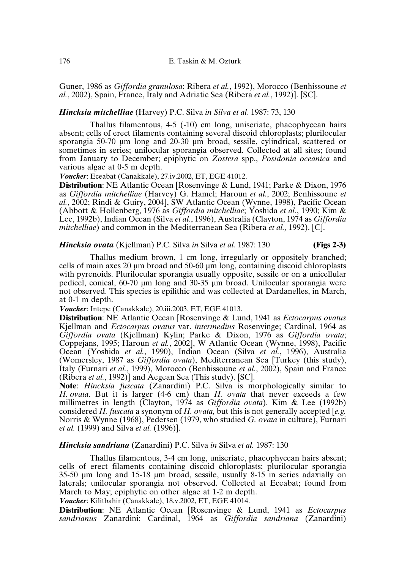Guner, 1986 as *Giffordia granulosa*; Ribera *et al.*, 1992), Morocco (Benhissoune *et al.*, 2002), Spain, France, Italy and Adriatic Sea (Ribera *et al.*, 1992)]. [SC].

### *Hincksia mitchelliae* (Harvey) P.C. Silva *in Silva et al*. 1987: 73, 130

Thallus filamentous, 4-5 (-10) cm long, uniseriate, phaeophycean hairs absent; cells of erect filaments containing several discoid chloroplasts; plurilocular sporangia 50-70 µm long and 20-30 µm broad, sessile, cylindrical, scattered or sometimes in series; unilocular sporangia observed. Collected at all sites; found from January to December; epiphytic on *Zostera* spp., *Posidonia oceanica* and various algae at 0-5 m depth.

*Voucher*: Eceabat (Canakkale), 27.iv.2002, ET, EGE 41012.

**Distribution**: NE Atlantic Ocean [Rosenvinge & Lund, 1941; Parke & Dixon, 1976 as *Giffordia mitchelliae* (Harvey) G. Hamel; Haroun *et al.*, 2002; Benhissoune *et al.*, 2002; Rindi & Guiry, 2004], SW Atlantic Ocean (Wynne, 1998), Pacific Ocean (Abbott & Hollenberg, 1976 as *Giffordia mitchelliae*; Yoshida *et al.*, 1990; Kim & Lee, 1992b), Indian Ocean (Silva *et al.*, 1996), Australia (Clayton, 1974 as *Giffordia mitchelliae*) and common in the Mediterranean Sea (Ribera *et al.,* 1992). [C].

#### *Hincksia ovata* (Kjellman) P.C. Silva *in* Silva *et al.* 1987: 130 **(Figs 2-3)**

Thallus medium brown, 1 cm long, irregularly or oppositely branched; cells of main axes 20 µm broad and 50-60 µm long, containing discoid chloroplasts with pyrenoids. Plurilocular sporangia usually opposite, sessile or on a unicellular pedicel, conical, 60-70 µm long and 30-35 µm broad. Unilocular sporangia were not observed. This species is epilithic and was collected at Dardanelles, in March, at 0-1 m depth.

*Voucher*: Intepe (Canakkale), 20.iii.2003, ET, EGE 41013.

**Distribution**: NE Atlantic Ocean [Rosenvinge & Lund, 1941 as *Ectocarpus ovatus* Kjellman and *Ectocarpus ovatus* var. *intermedius* Rosenvinge; Cardinal, 1964 as *Giffordia ovata* (Kjellman) Kylin; Parke & Dixon, 1976 as *Giffordia ovata*; Coppejans, 1995; Haroun *et al.*, 2002], W Atlantic Ocean (Wynne, 1998), Pacific Ocean (Yoshida *et al.*, 1990), Indian Ocean (Silva *et al.*, 1996), Australia (Womersley, 1987 as *Giffordia ovata*), Mediterranean Sea [Turkey (this study), Italy (Furnari *et al.*, 1999), Morocco (Benhissoune *et al.*, 2002), Spain and France (Ribera *et al.*, 1992)] and Aegean Sea (This study). [SC].

**Note**: *Hincksia fuscata* (Zanardini) P.C. Silva is morphologically similar to *H. ovata*. But it is larger (4-6 cm) than *H. ovata* that never exceeds a few millimetres in length (Clayton, 1974 as *Giffordia ovata*). Kim & Lee (1992b) considered *H. fuscata* a synonym of *H. ovata,* but this is not generally accepted [*e.g.* Norris & Wynne (1968), Pedersen (1979, who studied *G. ovata* in culture), Furnari *et al.* (1999) and Silva *et al.* (1996)].

#### *Hincksia sandriana* (Zanardini) P.C. Silva *in* Silva *et al.* 1987: 130

Thallus filamentous, 3-4 cm long, uniseriate, phaeophycean hairs absent; cells of erect filaments containing discoid chloroplasts; plurilocular sporangia 35-50 µm long and 15-18 µm broad, sessile, usually 8-15 in series adaxially on laterals; unilocular sporangia not observed. Collected at Eceabat; found from March to May; epiphytic on other algae at 1-2 m depth.

*Voucher*: Kilitbahir (Canakkale), 18.v.2002, ET, EGE 41014.

**Distribution**: NE Atlantic Ocean [Rosenvinge & Lund, 1941 as *Ectocarpus sandrianus* Zanardini; Cardinal, 1964 as *Giffordia sandriana* (Zanardini)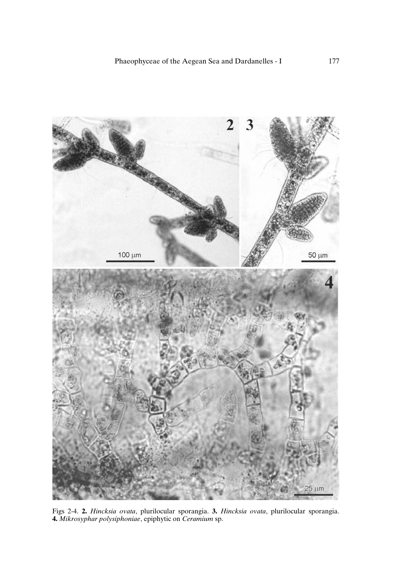

Figs 2-4. **2.** *Hincksia ovata*, plurilocular sporangia. **3.** *Hincksia ovata*, plurilocular sporangia. **4.** *Mikrosyphar polysiphoniae*, epiphytic on *Ceramium* sp.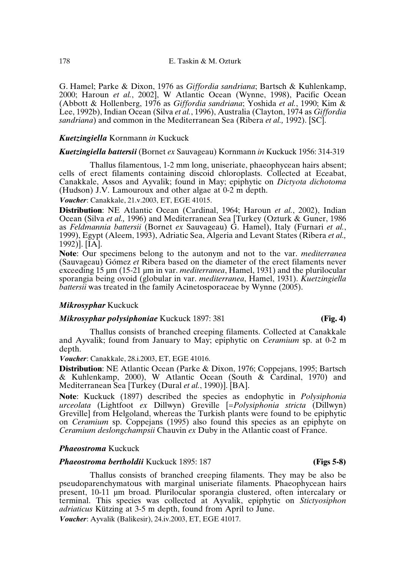G. Hamel; Parke & Dixon, 1976 as *Giffordia sandriana*; Bartsch & Kuhlenkamp, 2000; Haroun *et al.*, 2002], W Atlantic Ocean (Wynne, 1998), Pacific Ocean (Abbott & Hollenberg, 1976 as *Giffordia sandriana*; Yoshida *et al.*, 1990; Kim & Lee, 1992b), Indian Ocean (Silva *et al.*, 1996), Australia (Clayton, 1974 as *Giffordia sandriana*) and common in the Mediterranean Sea (Ribera *et al.,* 1992). [SC].

## *Kuetzingiella* Kornmann *in* Kuckuck

#### *Kuetzingiella battersii* (Bornet *ex* Sauvageau) Kornmann *in* Kuckuck 1956: 314-319

Thallus filamentous, 1-2 mm long, uniseriate, phaeophycean hairs absent; cells of erect filaments containing discoid chloroplasts. Collected at Eceabat, Canakkale, Assos and Ayvalik; found in May; epiphytic on *Dictyota dichotoma* (Hudson) J.V. Lamouroux and other algae at 0-2 m depth.

*Voucher*: Canakkale, 21.v.2003, ET, EGE 41015.

**Distribution**: NE Atlantic Ocean (Cardinal, 1964; Haroun *et al.*, 2002), Indian Ocean (Silva *et al.,* 1996) and Mediterranean Sea [Turkey (Ozturk & Guner, 1986 as *Feldmannia battersii* (Bornet *ex* Sauvageau) G. Hamel), Italy (Furnari *et al.*, 1999), Egypt (Aleem, 1993), Adriatic Sea, Algeria and Levant States (Ribera *et al.,* 1992)]. [IA].

**Note**: Our specimens belong to the autonym and not to the var. *mediterranea* (Sauvageau) Gómez *et* Ribera based on the diameter of the erect filaments never exceeding 15 µm (15-21 µm in var. *mediterranea*, Hamel, 1931) and the plurilocular sporangia being ovoid (globular in var. *mediterranea*, Hamel, 1931). *Kuetzingiella battersii* was treated in the family Acinetosporaceae by Wynne (2005).

## *Mikrosyphar* Kuckuck

#### *Mikrosyphar polysiphoniae* Kuckuck 1897: 381 **(Fig. 4)**

Thallus consists of branched creeping filaments. Collected at Canakkale and Ayvalik; found from January to May; epiphytic on *Ceramium* sp. at 0-2 m depth.

*Voucher*: Canakkale, 28.i.2003, ET, EGE 41016.

**Distribution**: NE Atlantic Ocean (Parke & Dixon, 1976; Coppejans, 1995; Bartsch & Kuhlenkamp, 2000), W Atlantic Ocean (South & Cardinal, 1970) and Mediterranean Sea [Turkey (Dural *et al.*, 1990)]. [BA].

**Note**: Kuckuck (1897) described the species as endophytic in *Polysiphonia urceolata* (Lightfoot *ex* Dillwyn) Greville [=*Polysiphonia stricta* (Dillwyn) Greville] from Helgoland, whereas the Turkish plants were found to be epiphytic on *Ceramium* sp. Coppejans (1995) also found this species as an epiphyte on *Ceramium deslongchampsii* Chauvin *ex* Duby in the Atlantic coast of France.

## *Phaeostroma* Kuckuck

## *Phaeostroma bertholdii* Kuckuck 1895: 187 **(Figs 5-8)**

Thallus consists of branched creeping filaments. They may be also be pseudoparenchymatous with marginal uniseriate filaments. Phaeophycean hairs present, 10-11 µm broad. Plurilocular sporangia clustered, often intercalary or terminal. This species was collected at Ayvalik, epiphytic on *Stictyosiphon adriaticus* Kützing at 3-5 m depth, found from April to June.

*Voucher*: Ayvalik (Balikesir), 24.iv.2003, ET, EGE 41017.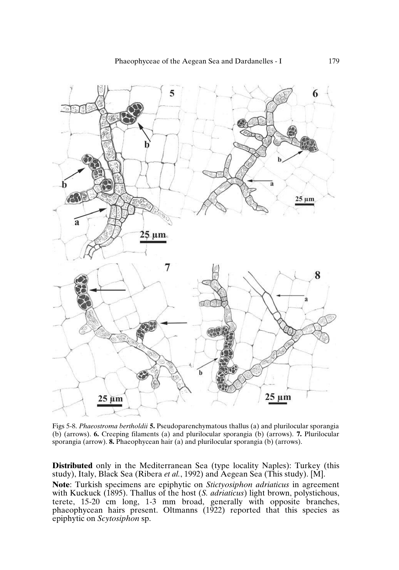

Figs 5-8. *Phaeostroma bertholdii* **5.** Pseudoparenchymatous thallus (a) and plurilocular sporangia (b) (arrows). **6.** Creeping filaments (a) and plurilocular sporangia (b) (arrows). **7.** Plurilocular sporangia (arrow). **8.** Phaeophycean hair (a) and plurilocular sporangia (b) (arrows).

**Distributed** only in the Mediterranean Sea (type locality Naples): Turkey (this study), Italy, Black Sea (Ribera *et al.*, 1992) and Aegean Sea (This study). [M]. **Note**: Turkish specimens are epiphytic on *Stictyosiphon adriaticus* in agreement with Kuckuck (1895). Thallus of the host (*S. adriaticus*) light brown, polystichous, terete, 15-20 cm long, 1-3 mm broad, generally with opposite branches, phaeophycean hairs present. Oltmanns (1922) reported that this species as epiphytic on *Scytosiphon* sp.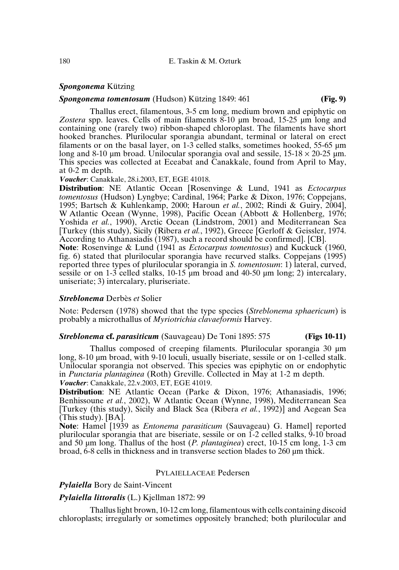#### *Spongonema* Kützing

#### *Spongonema tomentosum* (Hudson) Kützing 1849: 461 **(Fig. 9)**

Thallus erect, filamentous, 3-5 cm long, medium brown and epiphytic on *Zostera* spp. leaves. Cells of main filaments 8-10 µm broad, 15-25 µm long and containing one (rarely two) ribbon-shaped chloroplast. The filaments have short hooked branches. Plurilocular sporangia abundant, terminal or lateral on erect filaments or on the basal layer, on  $1-3$  celled stalks, sometimes hooked, 55-65  $\mu$ m long and 8-10 µm broad. Unilocular sporangia oval and sessile,  $15{\text -}18 \times 20{\text -}25$  µm. This species was collected at Eceabat and Canakkale, found from April to May, at 0-2 m depth.

*Voucher*: Canakkale, 28.i.2003, ET, EGE 41018.

**Distribution**: NE Atlantic Ocean [Rosenvinge & Lund, 1941 as *Ectocarpus tomentosus* (Hudson) Lyngbye; Cardinal, 1964; Parke & Dixon, 1976; Coppejans, 1995; Bartsch & Kuhlenkamp, 2000; Haroun *et al.*, 2002; Rindi & Guiry, 2004], W Atlantic Ocean (Wynne, 1998), Pacific Ocean (Abbott & Hollenberg, 1976; Yoshida *et al.*, 1990), Arctic Ocean (Lindstrom, 2001) and Mediterranean Sea [Turkey (this study), Sicily (Ribera *et al.*, 1992), Greece [Gerloff & Geissler, 1974. According to Athanasiadis (1987), such a record should be confirmed]. [CB].

**Note**: Rosenvinge & Lund (1941 as *Ectocarpus tomentosus*) and Kuckuck (1960, fig. 6) stated that plurilocular sporangia have recurved stalks. Coppejans (1995) reported three types of plurilocular sporangia in *S. tomentosum*: 1) lateral, curved, sessile or on 1-3 celled stalks, 10-15  $\mu$ m broad and 40-50  $\mu$ m long; 2) intercalary, uniseriate; 3) intercalary, pluriseriate.

#### *Streblonema* Derbès *et* Solier

Note: Pedersen (1978) showed that the type species (*Streblonema sphaericum*) is probably a microthallus of *Myriotrichia clavaeformis* Harvey.

## *Streblonema* **cf.** *parasiticum* (Sauvageau) De Toni 1895: 575 **(Figs 10-11)**

Thallus composed of creeping filaments. Plurilocular sporangia 30 µm long, 8-10 µm broad, with 9-10 loculi, usually biseriate, sessile or on 1-celled stalk. Unilocular sporangia not observed. This species was epiphytic on or endophytic in *Punctaria plantaginea* (Roth) Greville. Collected in May at 1-2 m depth. *Voucher*: Canakkale, 22.v.2003, ET, EGE 41019.

**Distribution**: NE Atlantic Ocean (Parke & Dixon, 1976; Athanasiadis, 1996; Benhissoune *et al.*, 2002), W Atlantic Ocean (Wynne, 1998), Mediterranean Sea [Turkey (this study), Sicily and Black Sea (Ribera *et al.*, 1992)] and Aegean Sea (This study). [BA].

**Note**: Hamel [1939 as *Entonema parasiticum* (Sauvageau) G. Hamel] reported plurilocular sporangia that are biseriate, sessile or on 1-2 celled stalks, 9-10 broad and 50 µm long. Thallus of the host (*P. plantaginea*) erect, 10-15 cm long, 1-3 cm broad, 6-8 cells in thickness and in transverse section blades to 260 µm thick.

#### PYLAIELLACEAE Pedersen

*Pylaiella* Bory de Saint-Vincent

#### *Pylaiella littoralis* (L.) Kjellman 1872: 99

Thallus light brown, 10-12 cm long, filamentous with cells containing discoid chloroplasts; irregularly or sometimes oppositely branched; both plurilocular and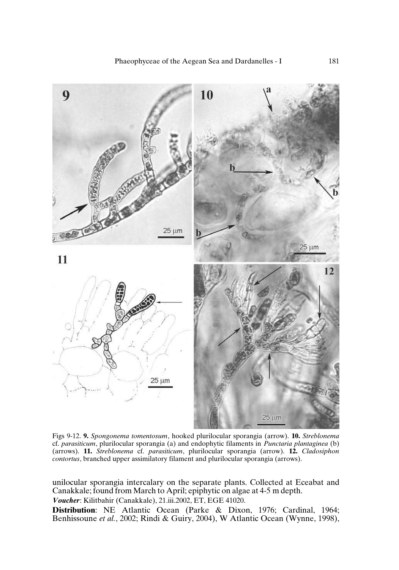

Figs 9-12. **9.** *Spongonema tomentosum*, hooked plurilocular sporangia (arrow). **10.** *Streblonema* cf. *parasiticum*, plurilocular sporangia (a) and endophytic filaments in *Punctaria plantaginea* (b) (arrows). **11.** *Streblonema* cf. *parasiticum*, plurilocular sporangia (arrow). **12.** *Cladosiphon contortus*, branched upper assimilatory filament and plurilocular sporangia (arrows).

unilocular sporangia intercalary on the separate plants. Collected at Eceabat and Canakkale; found from March to April; epiphytic on algae at 4-5 m depth.

*Voucher*: Kilitbahir (Canakkale), 21.iii.2002, ET, EGE 41020.

**Distribution**: NE Atlantic Ocean (Parke & Dixon, 1976; Cardinal, 1964; Benhissoune *et al.*, 2002; Rindi & Guiry, 2004), W Atlantic Ocean (Wynne, 1998),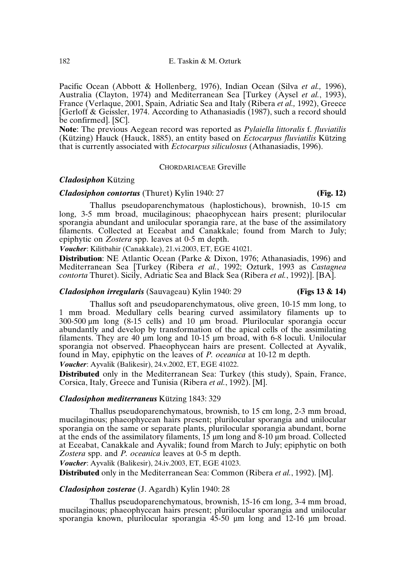Pacific Ocean (Abbott & Hollenberg, 1976), Indian Ocean (Silva *et al.,* 1996), Australia (Clayton, 1974) and Mediterranean Sea [Turkey (Aysel *et al.*, 1993), France (Verlaque, 2001, Spain, Adriatic Sea and Italy (Ribera *et al.,* 1992), Greece [Gerloff & Geissler, 1974. According to Athanasiadis (1987), such a record should be confirmed]. [SC].

**Note**: The previous Aegean record was reported as *Pylaiella littoralis* f. *fluviatilis* (Kützing) Hauck (Hauck, 1885), an entity based on *Ectocarpus fluviatilis* Kützing that is currently associated with *Ectocarpus siliculosus* (Athanasiadis, 1996).

#### CHORDARIACEAE Greville

## *Cladosiphon* Kützing

## *Cladosiphon contortus* (Thuret) Kylin 1940: 27 **(Fig. 12)**

Thallus pseudoparenchymatous (haplostichous), brownish, 10-15 cm long, 3-5 mm broad, mucilaginous; phaeophycean hairs present; plurilocular sporangia abundant and unilocular sporangia rare, at the base of the assimilatory filaments. Collected at Eceabat and Canakkale; found from March to July; epiphytic on *Zostera* spp. leaves at 0-5 m depth.

*Voucher*: Kilitbahir (Canakkale), 21.vi.2003, ET, EGE 41021.

**Distribution**: NE Atlantic Ocean (Parke & Dixon, 1976; Athanasiadis, 1996) and Mediterranean Sea [Turkey (Ribera *et al.*, 1992; Ozturk, 1993 as *Castagnea contorta* Thuret). Sicily, Adriatic Sea and Black Sea (Ribera *et al.*, 1992)]. [BA].

#### *Cladosiphon irregularis* (Sauvageau) Kylin 1940: 29 **(Figs 13 & 14)**

Thallus soft and pseudoparenchymatous, olive green, 10-15 mm long, to 1 mm broad. Medullary cells bearing curved assimilatory filaments up to 300-500 µm long (8-15 cells) and 10 µm broad. Plurilocular sporangia occur abundantly and develop by transformation of the apical cells of the assimilating filaments. They are 40 µm long and 10-15 µm broad, with 6-8 loculi. Unilocular sporangia not observed. Phaeophycean hairs are present. Collected at Ayvalik, found in May, epiphytic on the leaves of *P. oceanica* at 10-12 m depth. *Voucher*: Ayvalik (Balikesir), 24.v.2002, ET, EGE 41022.

**Distributed** only in the Mediterranean Sea: Turkey (this study), Spain, France, Corsica, Italy, Greece and Tunisia (Ribera *et al.*, 1992). [M].

#### *Cladosiphon mediterraneus* Kützing 1843: 329

Thallus pseudoparenchymatous, brownish, to 15 cm long, 2-3 mm broad, mucilaginous; phaeophycean hairs present; plurilocular sporangia and unilocular sporangia on the same or separate plants, plurilocular sporangia abundant, borne at the ends of the assimilatory filaments,  $15 \mu m$  long and  $8-10 \mu m$  broad. Collected at Eceabat, Canakkale and Ayvalik; found from March to July; epiphytic on both *Zostera* spp. and *P. oceanica* leaves at 0-5 m depth.

*Voucher*: Ayvalik (Balikesir), 24.iv.2003, ET, EGE 41023.

**Distributed** only in the Mediterranean Sea: Common (Ribera *et al.*, 1992). [M].

## *Cladosiphon zosterae* (J. Agardh) Kylin 1940: 28

Thallus pseudoparenchymatous, brownish, 15-16 cm long, 3-4 mm broad, mucilaginous; phaeophycean hairs present; plurilocular sporangia and unilocular sporangia known, plurilocular sporangia 45-50 µm long and 12-16 µm broad.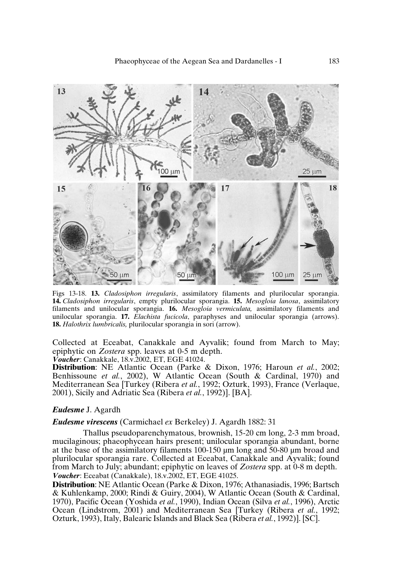

Figs 13-18. **13.** *Cladosiphon irregularis*, assimilatory filaments and plurilocular sporangia. **14.** *Cladosiphon irregularis*, empty plurilocular sporangia. **15.** *Mesogloia lanosa*, assimilatory filaments and unilocular sporangia. **16.** *Mesogloia vermiculata,* assimilatory filaments and unilocular sporangia. **17.** *Elachista fucicola*, paraphyses and unilocular sporangia (arrows). **18.** *Halothrix lumbricalis,* plurilocular sporangia in sori (arrow).

Collected at Eceabat, Canakkale and Ayvalik; found from March to May; epiphytic on *Zostera* spp. leaves at 0-5 m depth.

*Voucher*: Canakkale, 18.v.2002, ET, EGE 41024.

**Distribution**: NE Atlantic Ocean (Parke & Dixon, 1976; Haroun *et al.*, 2002; Benhissoune *et al.*, 2002), W Atlantic Ocean (South & Cardinal, 1970) and Mediterranean Sea [Turkey (Ribera *et al.*, 1992; Ozturk, 1993), France (Verlaque, 2001), Sicily and Adriatic Sea (Ribera *et al.*, 1992)]. [BA].

## *Eudesme* J. Agardh

## *Eudesme virescens* (Carmichael *ex* Berkeley) J. Agardh 1882: 31

Thallus pseudoparenchymatous, brownish, 15-20 cm long, 2-3 mm broad, mucilaginous; phaeophycean hairs present; unilocular sporangia abundant, borne at the base of the assimilatory filaments 100-150 µm long and 50-80 µm broad and plurilocular sporangia rare. Collected at Eceabat, Canakkale and Ayvalik; found from March to July; abundant; epiphytic on leaves of *Zostera* spp. at 0-8 m depth. *Voucher*: Eceabat (Canakkale), 18.v.2002, ET, EGE 41025.

**Distribution**: NE Atlantic Ocean (Parke & Dixon, 1976; Athanasiadis, 1996; Bartsch & Kuhlenkamp, 2000; Rindi & Guiry, 2004), W Atlantic Ocean (South & Cardinal, 1970), Pacific Ocean (Yoshida *et al.*, 1990), Indian Ocean (Silva *et al.*, 1996), Arctic Ocean (Lindstrom, 2001) and Mediterranean Sea [Turkey (Ribera *et al.*, 1992; Ozturk, 1993), Italy, Balearic Islands and Black Sea (Ribera *et al.*, 1992)]. [SC].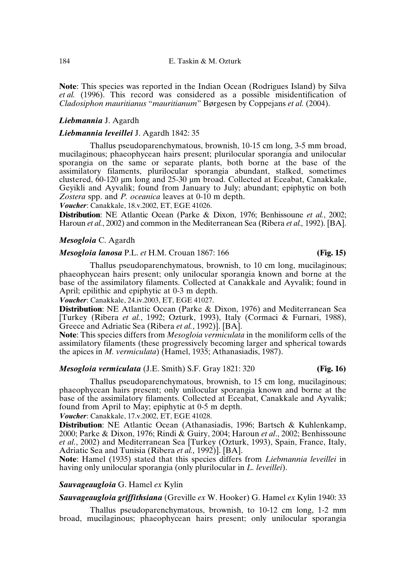**Note**: This species was reported in the Indian Ocean (Rodrigues Island) by Silva *et al.* (1996). This record was considered as a possible misidentification of *Cladosiphon mauritianus* "*mauritianum*" Børgesen by Coppejans *et al.* (2004).

## *Liebmannia* J. Agardh

## *Liebmannia leveillei* J. Agardh 1842: 35

Thallus pseudoparenchymatous, brownish, 10-15 cm long, 3-5 mm broad, mucilaginous; phaeophycean hairs present; plurilocular sporangia and unilocular sporangia on the same or separate plants, both borne at the base of the assimilatory filaments, plurilocular sporangia abundant, stalked, sometimes clustered, 60-120 µm long and 25-30 µm broad. Collected at Eceabat, Canakkale, Geyikli and Ayvalik; found from January to July; abundant; epiphytic on both *Zostera* spp. and *P. oceanica* leaves at 0-10 m depth.

*Voucher*: Canakkale, 18.v.2002, ET, EGE 41026.

**Distribution**: NE Atlantic Ocean (Parke & Dixon, 1976; Benhissoune *et al.*, 2002; Haroun *et al.*, 2002) and common in the Mediterranean Sea (Ribera *et al.*, 1992). [BA].

## *Mesogloia* C. Agardh

#### *Mesogloia lanosa* P.L. *et* H.M. Crouan 1867: 166 **(Fig. 15)**

Thallus pseudoparenchymatous, brownish, to 10 cm long, mucilaginous; phaeophycean hairs present; only unilocular sporangia known and borne at the base of the assimilatory filaments. Collected at Canakkale and Ayvalik; found in April; epilithic and epiphytic at 0-3 m depth.

*Voucher*: Canakkale, 24.iv.2003, ET, EGE 41027.

**Distribution**: NE Atlantic Ocean (Parke & Dixon, 1976) and Mediterranean Sea [Turkey (Ribera *et al.*, 1992; Ozturk, 1993), Italy (Cormaci & Furnari, 1988), Greece and Adriatic Sea (Ribera *et al.*, 1992)]. [BA].

**Note**: This species differs from *Mesogloia vermiculata* in the moniliform cells of the assimilatory filaments (these progressively becoming larger and spherical towards the apices in *M. vermiculata*) (Hamel, 1935; Athanasiadis, 1987).

### *Mesogloia vermiculata* (J.E. Smith) S.F. Gray 1821: 320 **(Fig. 16)**

Thallus pseudoparenchymatous, brownish, to 15 cm long, mucilaginous; phaeophycean hairs present; only unilocular sporangia known and borne at the base of the assimilatory filaments. Collected at Eceabat, Canakkale and Ayvalik; found from April to May; epiphytic at 0-5 m depth.

*Voucher*: Canakkale, 17.v.2002, ET, EGE 41028.

**Distribution**: NE Atlantic Ocean (Athanasiadis, 1996; Bartsch & Kuhlenkamp, 2000; Parke & Dixon, 1976; Rindi & Guiry, 2004; Haroun *et al*., 2002; Benhissoune *et al.*, 2002) and Mediterranean Sea [Turkey (Ozturk, 1993), Spain, France, Italy, Adriatic Sea and Tunisia (Ribera *et al.,* 1992)]. [BA].

**Note**: Hamel (1935) stated that this species differs from *Liebmannia leveillei* in having only unilocular sporangia (only plurilocular in *L. leveillei*).

## *Sauvageaugloia* G. Hamel *ex* Kylin

*Sauvageaugloia griffithsiana* (Greville *ex* W. Hooker) G. Hamel *ex* Kylin 1940: 33

Thallus pseudoparenchymatous, brownish, to 10-12 cm long, 1-2 mm broad, mucilaginous; phaeophycean hairs present; only unilocular sporangia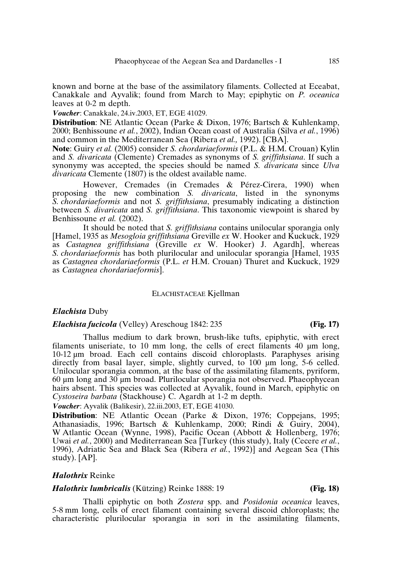known and borne at the base of the assimilatory filaments. Collected at Eceabat, Canakkale and Ayvalik; found from March to May; epiphytic on *P. oceanica* leaves at 0-2 m depth.

*Voucher*: Canakkale, 24.iv.2003, ET, EGE 41029.

**Distribution**: NE Atlantic Ocean (Parke & Dixon, 1976; Bartsch & Kuhlenkamp, 2000; Benhissoune *et al.*, 2002), Indian Ocean coast of Australia (Silva *et al.*, 1996) and common in the Mediterranean Sea (Ribera *et al.,* 1992). [CBA].

**Note**: Guiry *et al.* (2005) consider *S. chordariaeformis* (P.L. & H.M. Crouan) Kylin and *S. divaricata* (Clemente) Cremades as synonyms of *S. griffithsiana*. If such a synonymy was accepted, the species should be named *S. divaricata* since *Ulva divaricata* Clemente (1807) is the oldest available name.

However, Cremades (in Cremades & Pérez-Cirera, 1990) when proposing the new combination *S. divaricata*, listed in the synonyms *S. chordariaeformis* and not *S. griffithsiana*, presumably indicating a distinction between *S. divaricata* and *S. griffithsiana*. This taxonomic viewpoint is shared by Benhissoune *et al.* (2002).

It should be noted that *S. griffithsiana* contains unilocular sporangia only [Hamel, 1935 as *Mesogloia griffithsiana* Greville *ex* W. Hooker and Kuckuck, 1929 as *Castagnea griffithsiana* (Greville *ex* W. Hooker) J. Agardh], whereas *S. chordariaeformis* has both plurilocular and unilocular sporangia [Hamel, 1935 as *Castagnea chordariaeformis* (P.L. *et* H.M. Crouan) Thuret and Kuckuck, 1929 as *Castagnea chordariaeformis*].

### ELACHISTACEAE Kjellman

## *Elachista* Duby

## *Elachista fucicola* (Velley) Areschoug 1842: 235 **(Fig. 17)**

Thallus medium to dark brown, brush-like tufts, epiphytic, with erect filaments uniseriate, to 10 mm long, the cells of erect filaments 40 µm long, 10-12 µm broad. Each cell contains discoid chloroplasts. Paraphyses arising directly from basal layer, simple, slightly curved, to 100  $\mu$ m long, 5-6 celled. Unilocular sporangia common, at the base of the assimilating filaments, pyriform, 60 µm long and 30 µm broad. Plurilocular sporangia not observed. Phaeophycean hairs absent. This species was collected at Ayvalik, found in March, epiphytic on *Cystoseira barbata* (Stackhouse) C. Agardh at 1-2 m depth.

*Voucher*: Ayvalik (Balikesir), 22.iii.2003, ET, EGE 41030.

**Distribution**: NE Atlantic Ocean (Parke & Dixon, 1976; Coppejans, 1995; Athanasiadis, 1996; Bartsch & Kuhlenkamp, 2000; Rindi & Guiry, 2004), W Atlantic Ocean (Wynne, 1998), Pacific Ocean (Abbott & Hollenberg, 1976; Uwai *et al.*, 2000) and Mediterranean Sea [Turkey (this study), Italy (Cecere *et al.*, 1996), Adriatic Sea and Black Sea (Ribera *et al.*, 1992)] and Aegean Sea (This study). [AP].

#### *Halothrix* Reinke

## *Halothrix lumbricalis* (Kützing) Reinke 1888: 19 **(Fig. 18)**

Thalli epiphytic on both *Zostera* spp. and *Posidonia oceanica* leaves, 5-8 mm long, cells of erect filament containing several discoid chloroplasts; the characteristic plurilocular sporangia in sori in the assimilating filaments,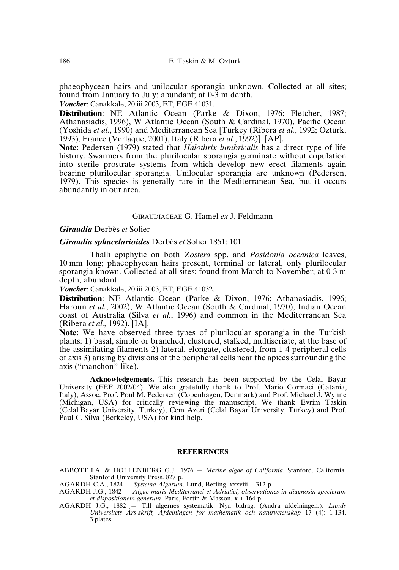phaeophycean hairs and unilocular sporangia unknown. Collected at all sites; found from January to July; abundant; at 0-3 m depth.

*Voucher*: Canakkale, 20.iii.2003, ET, EGE 41031.

**Distribution**: NE Atlantic Ocean (Parke & Dixon, 1976; Fletcher, 1987; Athanasiadis, 1996), W Atlantic Ocean (South & Cardinal, 1970), Pacific Ocean (Yoshida *et al.*, 1990) and Mediterranean Sea [Turkey (Ribera *et al.*, 1992; Ozturk, 1993), France (Verlaque, 2001), Italy (Ribera *et al.*, 1992)]. [AP].

**Note**: Pedersen (1979) stated that *Halothrix lumbricalis* has a direct type of life history. Swarmers from the plurilocular sporangia germinate without copulation into sterile prostrate systems from which develop new erect filaments again bearing plurilocular sporangia. Unilocular sporangia are unknown (Pedersen, 1979). This species is generally rare in the Mediterranean Sea, but it occurs abundantly in our area.

## GIRAUDIACEAE G. Hamel *ex* J. Feldmann

#### *Giraudia* Derbès *et* Solier

*Giraudia sphacelarioides* Derbès *et* Solier 1851: 101

Thalli epiphytic on both *Zostera* spp. and *Posidonia oceanica* leaves, 10 mm long; phaeophycean hairs present, terminal or lateral, only plurilocular sporangia known. Collected at all sites; found from March to November; at 0-3 m depth; abundant.

*Voucher*: Canakkale, 20.iii.2003, ET, EGE 41032.

**Distribution**: NE Atlantic Ocean (Parke & Dixon, 1976; Athanasiadis, 1996; Haroun *et al.*, 2002), W Atlantic Ocean (South & Cardinal, 1970), Indian Ocean coast of Australia (Silva *et al.*, 1996) and common in the Mediterranean Sea (Ribera *et al.,* 1992). [IA].

**Note**: We have observed three types of plurilocular sporangia in the Turkish plants: 1) basal, simple or branched, clustered, stalked, multiseriate, at the base of the assimilating filaments 2) lateral, elongate, clustered, from 1-4 peripheral cells of axis 3) arising by divisions of the peripheral cells near the apices surrounding the axis ("manchon"-like).

**Acknowledgements.** This research has been supported by the Celal Bayar University (FEF 2002/04). We also gratefully thank to Prof. Mario Cormaci (Catania, Italy), Assoc. Prof. Poul M. Pedersen (Copenhagen, Denmark) and Prof. Michael J. Wynne (Michigan, USA) for critically reviewing the manuscript. We thank Evrim Taskin (Celal Bayar University, Turkey), Cem Azeri (Celal Bayar University, Turkey) and Prof. Paul C. Silva (Berkeley, USA) for kind help.

#### **REFERENCES**

ABBOTT I.A. & HOLLENBERG G.J., 1976 — *Marine algae of California.* Stanford, California*,* Stanford University Press. 827 p.

- AGARDH C.A., 1824 *Systema Algarum*. Lund, Berling. xxxviii + 312 p.
- AGARDH J.G., 1842 *Algae maris Mediterranei et Adriatici, observationes in diagnosin specierum et dispositionem generum.* Paris, Fortin & Masson. x + 164 p.
- AGARDH J.G., 1882 Till algernes systematik. Nya bidrag. (Andra afdelningen.). *Lunds Universitets Års-skrift, Afdelningen for mathematik och naturvetenskap* 17 (4): 1-134, 3 plates.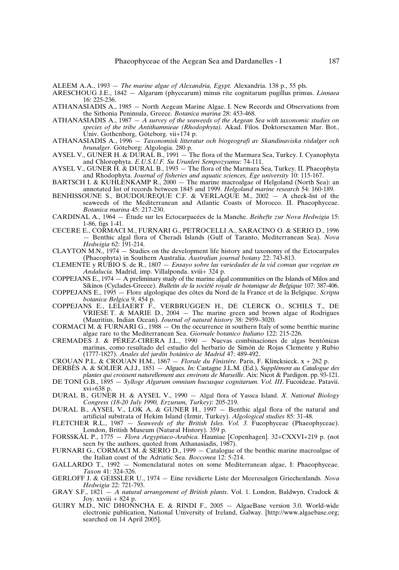ALEEM A.A., 1993 — *The marine algae of Alexandria, Egypt.* Alexandria. 138 p., 55 pls.

- ARESCHOUG J.E., 1842 Algarum (phycearum) minus rite cognitarum pugillus primus. *Linnaea* 16: 225-236.
- ATHANASIADIS A., 1985 North Aegean Marine Algae. I. New Records and Observations from the Sithonia Peninsula, Greece. *Botanica marina* 28: 453-468.
- ATHANASIADIS A., 1987 *A survey of the seaweeds of the Aegean Sea with taxonomic studies on species of the tribe Antithamnieae (Rhodophyta).* Akad. Filos. Doktorsexamen Mar. Bot., Univ. Gothenborg, Göteborg. vii+174 p.
- ATHANASIADIS A., 1996 *Taxonomisk litteratur och biogeografi av Skandinaviska rödalger och brunalger.* Göteborg: Algologia. 280 p.
- AYSEL V., GUNER H. & DURAL B., 1991 The flora of the Marmara Sea, Turkey. I. Cyanophyta and Chlorophyta. *E.U.S.U.F. Su Urunleri Sempozyumu*: 74-111.
- AYSEL V., GUNER H. & DURAL B., 1993 The flora of the Marmara Sea, Turkey. II. Phaeophyta and Rhodophyta. *Journal of fisheries and aquatic sciences, Ege university* 10: 115-167.
- BARTSCH I. & KUHLENKAMP R., 2000 The marine macroalgae of Helgoland (North Sea): an annotated list of records between 1845 and 1999. *Helgoland marine research* 54: 160-189.
- BENHISSOUNE S., BOUDOUREQUE C.F. & VERLAQUE M.,  $2002 A$  check-list of the seaweeds of the Mediterranean and Atlantic Coasts of Morocco. II. Phaeophyceae. *Botanica marina* 45: 217-230.
- CARDINAL A., 1964 Étude sur les Ectocarpacées de la Manche. *Beihefte zur Nova Hedwigia* 15: 1-86, figs 1-41.
- CECERE E., CORMACI M., FURNARI G., PETROCELLI A., SARACINO O. & SERIO D., 1996 — Benthic algal flora of Cheradi Islands (Gulf of Taranto, Mediterranean Sea). *Nova Hedwigia* 62: 191-214.
- CLAYTON M.N., 1974 Studies on the development life history and taxonomy of the Ectocarpales (Phaeophyta) in Southern Australia. *Australian journal botany* 22: 743-813.
- CLEMENTE y RUBIO S. de R., 1807 *Ensayo sobre las variedades de la vid comun que vegetan en Andalucía.* Madrid, imp. Villalponda. xviii+ 324 p.
- COPPEJANS E., 1974 A preliminary study of the marine algal communities on the Islands of Milos and Sikinos (Cyclades-Greece). *Bulletin de la société royale de botanique de Belgique* 107: 387-406.
- COPPEJANS E., 1995 Flore algologique des côtes du Nord de la France et de la Belgique. *Scripta botanica Belgica* 9, 454 p.
- COPPEJANS E., LELIAERT F., VERBRUGGEN H., DE CLERCK O., SCHILS T., DE VRIESE T. & MARIE D., 2004 — The marine green and brown algae of Rodrigues (Mauritius, Indian Ocean). *Journal of natural history* 38: 2959–3020.
- CORMACI M. & FURNARI G., 1988 On the occurrence in southern Italy of some benthic marine algae rare to the Mediterranean Sea. *Giornale botanico Italiano* 122: 215-226.
- CREMADES J. & PÉREZ-CIRERA J.L., 1990 Nuevas combinaciones de algas bentónicas marinas, como resultado del estudio del herbario de Simón de Rojas Clemente y Rubio (1777-1827). *Anales del jardín botánico de Madrid* 47: 489-492.

CROUAN P.L. & CROUAN H.M., 1867 — *Florule du Finistère.* Paris, F. Klincksieck. x + 262 p.

- DERBÈS A. & SOLIER A.J.J., 1851 Algues. *In:* Castagne J.L.M. (Ed.), *Supplément au Catalogue des plantes qui croissent naturellement aux environs de Marseille*. Aix: Nicot & Pardigon. pp. 93-121.
- DE TONI G.B., 1895 *Sylloge Algarum omnium hucusque cognitarum. Vol. III*. Fucoideae. Patavii. xvi+638 p.
- DURAL B., GUNER H. & AYSEL V., 1990 Algal flora of Yassca Island. *X. National Biology Congress (18-20 July 1990, Erzurum, Turkey)*: 205-219.
- DURAL B., AYSEL V., LOK A. & GUNER H., 1997 Benthic algal flora of the natural and artificial substrata of Hekim Island (Izmir, Turkey). *Algological studies* 85: 31-48.
- FLETCHER R.L., 1987 *Seaweeds of the British Isles. Vol. 3.* Fucophyceae (Phaeophyceae). London, British Museum (Natural History). 359 p.
- FORSSKÅL P., 1775 *Flora Aegyptiaco-Arabica*. Hauniae [Copenhagen]. 32+CXXVI+219 p. (not seen by the authors, quoted from Athanasiadis, 1987).
- FURNARI G., CORMACI M.  $\&$  SERIO D., 1999 Catalogue of the benthic marine macroalgae of the Italian coast of the Adriatic Sea. *Bocconea* 12: 5-214.
- GALLARDO T., 1992 Nomenclatural notes on some Mediterranean algae, I: Phaeophyceae. *Taxon* 41: 324-326.
- GERLOFF J. & GEISSLER U., 1974 Eine revidierte Liste der Meeresalgen Griechenlands. *Nova Hedwigia* 22: 721-793.
- GRAY S.F., 1821 *A natural arrangement of British plants*. Vol. 1. London, Baldwyn, Cradock & Joy. xxviii + 824 p.
- GUIRY M.D., NIC DHONNCHA E. & RINDI F., 2005 AlgaeBase version 3.0. World-wide electronic publication, National University of Ireland, Galway. [http://www.algaebase.org; searched on 14 April 2005].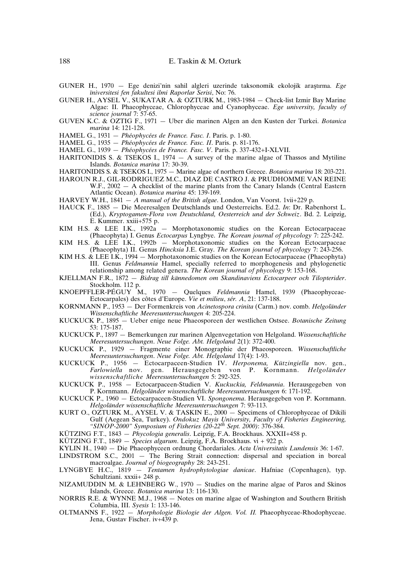- GUNER H., 1970 Ege denizi'nin sahil algleri uzerinde taksonomik ekolojik ara∫tırma. *Ege ïniversitesi fen fakultesi ilmi Raporlar Serisi*, No: 76.
- GUNER H., AYSEL V., SUKATAR A. & OZTURK M., 1983-1984 Check-list Izmir Bay Marine Algae: II. Phaeophyceae, Chlorophyceae and Cyanophyceae. *Ege university, faculty of science journal* 7: 57-65.
- GUVEN K.C. & OZTIG F., 1971 Uber die marinen Algen an den Kusten der Turkei. *Botanica marina* 14: 121-128.
- HAMEL G., 1931 *Phéophycées de France. Fasc. I*. Paris. p. 1-80.
- HAMEL G., 1935 *Phéophycées de France. Fasc. II*. Paris. p. 81-176.
- HAMEL G., 1939 *Phéophycées de France. Fasc. V*. Paris. p. 337-432+I-XLVII.
- HARITONIDIS S. & TSEKOS I., 1974  $-$  A survey of the marine algae of Thassos and Mytiline Islands. *Botanica marina* 17: 30-39.
- HARITONIDIS S. & TSEKOS I., 1975 Marine algae of northern Greece. *Botanica marina* 18: 203-221.
- HAROUN R.J., GIL-RODRIGUEZ M.C., DIAZ DE CASTRO J. & PRUDHOMME VAN REINE W.F., 2002 — A checklist of the marine plants from the Canary Islands (Central Eastern Atlantic Ocean). *Botanica marina* 45: 139-169.
- HARVEY W.H., 1841 *A manual of the British algae*. London, Van Voorst. 1vii+229 p.
- HAUCK F., 1885 Die Meeresalgen Deutschlands und Oesterreichs. Ed.2. *In*: Dr. Rabenhorst L. (Ed.), *Kryptogamen-Flora von Deutschland, Oesterreich und der Schweiz*. Bd. 2. Leipzig, E. Kummer. xxiii+575 p.
- KIM H.S. & LEE I.K., 1992a Morphotaxonomic studies on the Korean Ectocarpaceae (Phaeophyta) I. Genus *Ectocarpus* Lyngbye. *The Korean journal of phycology* 7: 225-242.
- KIM H.S. & LEE I.K., 1992b Morphotaxonomic studies on the Korean Ectocarpaceae (Phaeophyta) II. Genus *Hincksia* J.E. Gray. *The Korean journal of phycology* 7: 243-256.
- KIM H.S. & LEE I.K., 1994 Morphotaxonomic studies on the Korean Ectocarpaceae (Phaeophyta) III. Genus *Feldmannia* Hamel, specially referred to morphogenesis and phylogenetic relationship among related genera. *The Korean journal of phycology* 9: 153-168.
- KJELLMAN F.R., 1872 *Bidrag till kännedomen om Skandinaviens Ectocarpeer och Tilopterider*. Stockholm. 112 p.
- KNOEPFFLER-PÉGUY M., 1970 Quelques *Feldmannia* Hamel, 1939 (Phaeophyceae-Ectocarpales) des côtes d'Europe. *Vie et milieu*, *sér. A*, 21: 137-188.
- KORNMANN P., 1953 Der Formenkreis von *Acinetospora crinita* (Carm.) nov. comb. *Helgoländer Wissenschaftliche Meeresuntersuchungen* 4: 205-224.
- KUCKUCK P., 1895 Ueber enige neue Phaeosporeen der westlichen Ostsee. *Botanische Zeitung* 53: 175-187.
- KUCKUCK P., 1897 Bemerkungen zur marinen Algenvegetation von Helgoland. *Wissenschaftliche Meeresuntersuchungen*. *Neue Folge. Abt. Helgoland* 2(1): 372-400.
- KUCKUCK P., 1929 Fragmente einer Monographie der Phaeosporeen. *Wissenschaftliche Meeresuntersuchungen*. *Neue Folge. Abt. Helgoland* 17(4): 1-93.
- KUCKUCK P., 1956 Ectocarpaceen-Studien IV. *Herponema, Kützingiella* nov. gen., *Farlowiella* nov. gen. Herausgegeben von P. Kornmann. *Helgoländer wissenschaftliche Meeresuntersuchungen* 5: 292-325.
- KUCKUCK P., 1958 Ectocarpaceen-Studien V. *Kuckuckia, Feldmannia*. Herausgegeben von P. Kornmann. *Helgoländer wissenschaftliche Meeresuntersuchungen* 6: 171-192.
- KUCKUCK P., 1960 Ectocarpaceen-Studien VI. *Spongonema*. Herausgegeben von P. Kornmann. *Helgoländer wissenschaftliche Meeresuntersuchungen* 7: 93-113.
- KURT O., OZTURK M., AYSEL V. & TASKIN E., 2000 Specimens of Chlorophyceae of Dikili Gulf (Aegean Sea, Turkey). *Ondokuz Mayis University, Faculty of Fisheries Engineering, "SINOP-2000" Symposium of Fisheries (20-22th Sept. 2000)*: 376-384.
- KÜTZING F.T., 1843 *Phycologia generalis*. Leipzig, F.A. Brockhaus. XXXII+458 p.
- KÜTZING F.T., 1849 *Species algarum*. Leipzig, F.A. Brockhaus. vi + 922 p.
- KYLIN H., 1940 Die Phaeophyceen ordnung Chordariales. *Acta Universitatis Lundensis* 36: 1-67.
- LINDSTROM S.C., 2001 The Bering Strait connection: dispersal and speciation in boreal macroalgae. *Journal of biogeography* 28: 243-251.
- LYNGBYE H.C., 1819 *Tentamen hydrophytologiae danicae*. Hafniae (Copenhagen), typ. Schultziani. xxxii+ 248 p.
- NIZAMUDDIN M. & LEHNBERG W., 1970 Studies on the marine algae of Paros and Skinos Islands, Greece. *Botanica marina* 13: 116-130.
- NORRIS R.E. & WYNNE M.J., 1968 Notes on marine algae of Washington and Southern British Columbia, III. *Syesis* 1: 133-146.
- OLTMANNS F., 1922 *Morphologie Biologie der Algen. Vol. II.* Phaeophyceae-Rhodophyceae. Jena, Gustav Fischer. iv+439 p.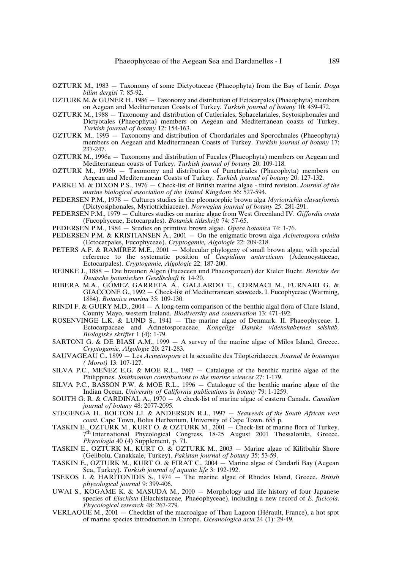- OZTURK M., 1983 Taxonomy of some Dictyotaceae (Phaeophyta) from the Bay of Izmir. *Doga bilim dergisi* 7: 85-92.
- OZTURK M. & GUNER H., 1986 Taxonomy and distribution of Ectocarpales (Phaeophyta) members on Aegean and Mediterranean Coasts of Turkey. *Turkish journal of botany* 10: 459-472.
- OZTURK M., 1988 Taxonomy and distribution of Cutleriales, Sphacelariales, Scytosiphonales and Dictyotales (Phaeophyta) members on Aegean and Mediterranean coasts of Turkey. *Turkish journal of botany* 12: 154-163.
- OZTURK M., 1993 Taxonomy and distribution of Chordariales and Sporochnales (Phaeophyta) members on Aegean and Mediterranean Coasts of Turkey. *Turkish journal of botany* 17: 237-247.
- OZTURK M., 1996a Taxonomy and distribution of Fucales (Phaeophyta) members on Aegean and Mediterranean coasts of Turkey. *Turkish journal of botany* 20: 109-118.
- OZTURK M., 1996b Taxonomy and distribution of Punctariales (Phaeophyta) members on Aegean and Mediterranean Coasts of Turkey. *Turkish journal of botany* 20: 127-132.
- PARKE M. & DIXON P.S., 1976 Check-list of British marine algae third revision. *Journal of the marine biological association of the United Kingdom* 56: 527-594.
- PEDERSEN P.M., 1978 Cultures studies in the pleomorphic brown alga *Myriotrichia clavaeformis* (Dictyosiphonales, Myriotrichiaceae). *Norwegian journal of botany* 25: 281-291.
- PEDERSEN P.M., 1979 Cultures studies on marine algae from West Greenland IV. *Giffordia ovata* (Fucophyceae, Ectocarpales). *Botanisk tidsskrift* 74: 57-65.
- PEDERSEN P.M., 1984 Studies on primtive brown algae. *Opera botanica* 74: 1-76.
- PEDERSEN P.M. & KRISTIANSEN A., 2001 On the enigmatic brown alga *Acinetospora crinita* (Ectocarpales, Fucophyceae). *Cryptogamie, Algologie* 22: 209-218.
- PETERS A.F. & RAMÍREZ M.E., 2001 Molecular phylogeny of small brown algae, with special reference to the systematic position of *Caepidium antarcticum* (Adenocystaceae, Ectocarpales). *Cryptogamie, Algologie* 22: 187-200.
- REINKE J., 1888 Die braunen Algen (Fucaceen und Phaeosporeen) der Kieler Bucht. *Berichte der Deutsche botanischen Gesellschaft* 6: 14-20.
- RIBERA M.A., GÓMEZ GARRETA A., GALLARDO T., CORMACI M., FURNARI G. & GIACCONE G., 1992 — Check-list of Mediterranean seaweeds. I. Fucophyceae (Warming, 1884). *Botanica marina* 35: 109-130.
- RINDI F. & GUIRY M.D., 2004 A long-term comparison of the benthic algal flora of Clare Island, County Mayo, western Ireland. *Biodiversity and conservation* 13: 471-492.
- ROSENVINGE L.K. & LUND S., 1941 The marine algae of Denmark. II. Phaeophyceae. I. Ectocarpaceae and Acinetosporaceae. *Kongelige Danske videnskabernes selskab, Biologiske skrifter* 1 (4): 1-79.
- SARTONI G. & DE BIASI A.M., 1999  $-$  A survey of the marine algae of Milos Island, Greece. *Cryptogamie, Algologie* 20: 271-283.
- SAUVAGEAU C., 1899 Les *Acinetospora* et la sexualite des Tilopteridacees. *Journal de botanique ( Morot)* 13: 107-127.
- SILVA P.C., MEÑEZ E.G. & MOE R.L.,  $1987 -$  Catalogue of the benthic marine algae of the Philippines. *Smithsonian contributions to the marine sciences* 27: 1-179.
- SILVA P.C., BASSON P.W. & MOE R.L., 1996 Catalogue of the benthic marine algae of the Indian Ocean. *University of California publications in botany* 79: 1-1259.
- SOUTH G. R. & CARDINAL A., 1970 A check-list of marine algae of eastern Canada. *Canadian journal of botany* 48: 2077-2095.
- STEGENGA H., BOLTON J.J. & ANDERSON R.J., 1997 *Seaweeds of the South African west coast.* Cape Town, Bolus Herbarium, University of Cape Town. 655 p.
- TASKIN E., OZTURK M., KURT O. & OZTURK M., 2001 Check-list of marine flora of Turkey. 7<sup>th</sup> International Phycological Congress, 18-25 August 2001 Thessaloniki, Greece. *Phycologia* 40 (4) Supplement, p. 71.
- TASKIN E., OZTURK M., KURT O. & OZTURK M., 2003 Marine algae of Kilitbahir Shore (Gelibolu, Canakkale, Turkey). *Pakistan journal of botany* 35: 53-59.
- TASKIN E., OZTURK M., KURT O. & FIRAT C., 2004 Marine algae of Candarli Bay (Aegean Sea, Turkey). *Turkish journal of aquatic life* 3: 192-192.
- TSEKOS I. & HARITONIDIS S., 1974 The marine algae of Rhodos Island, Greece. *British phycological journal* 9: 399-406.
- UWAI S., KOGAME K. & MASUDA M., 2000 Morphology and life history of four Japanese species of *Elachista* (Elachistaceae*,* Phaeophyceae), including a new record of *E. fucicola*. *Phycological research* 48: 267-279.
- VERLAQUE M., 2001 Checklist of the macroalgae of Thau Lagoon (Hérault, France), a hot spot of marine species introduction in Europe. *Oceanologica acta* 24 (1): 29-49.